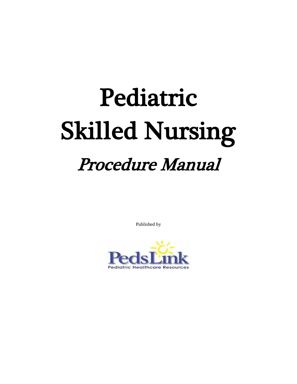# Pediatric Skilled Nursing Procedure Manual

Published by

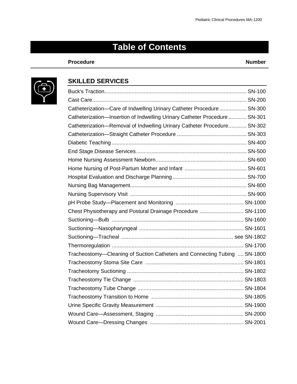## **Table of Contents**

#### **Procedure Number**



#### **SKILLED SERVICES**

| Catheterization-Care of Indwelling Urinary Catheter Procedure SN-300       |  |
|----------------------------------------------------------------------------|--|
| Catheterization-Insertion of Indwelling Urinary Catheter Procedure  SN-301 |  |
| Catheterization-Removal of Indwelling Urinary Catheter Procedure SN-302    |  |
|                                                                            |  |
|                                                                            |  |
|                                                                            |  |
|                                                                            |  |
|                                                                            |  |
|                                                                            |  |
|                                                                            |  |
|                                                                            |  |
|                                                                            |  |
| Chest Physiotherapy and Postural Drainage Procedure  SN-1100               |  |
|                                                                            |  |
|                                                                            |  |
|                                                                            |  |
|                                                                            |  |
| Tracheostomy-Cleaning of Suction Catheters and Connecting Tubing  SN-1800  |  |
|                                                                            |  |
|                                                                            |  |
|                                                                            |  |
|                                                                            |  |
|                                                                            |  |
|                                                                            |  |
|                                                                            |  |
|                                                                            |  |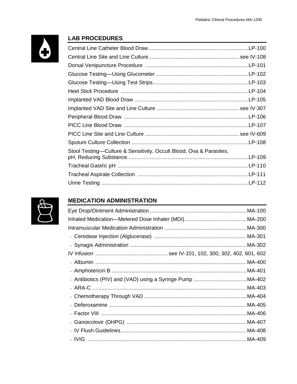

#### **LAB PROCEDURES**



#### **MEDICATION ADMINISTRATION**